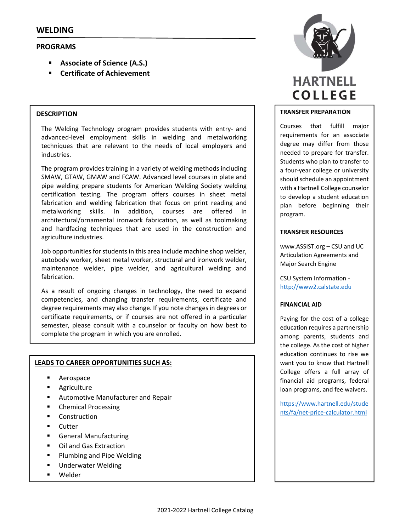# **PROGRAMS**

- **Associate of Science (A.S.)**
- **Certificate of Achievement**

#### **DESCRIPTION**

The Welding Technology program provides students with entry‐ and advanced-level employment skills in welding and metalworking techniques that are relevant to the needs of local employers and industries.

The program provides training in a variety of welding methods including SMAW, GTAW, GMAW and FCAW. Advanced level courses in plate and pipe welding prepare students for American Welding Society welding certification testing. The program offers courses in sheet metal fabrication and welding fabrication that focus on print reading and metalworking skills. In addition, courses are offered in architectural/ornamental ironwork fabrication, as well as toolmaking and hardfacing techniques that are used in the construction and agriculture industries.

Job opportunities for students in this area include machine shop welder, autobody worker, sheet metal worker, structural and ironwork welder, maintenance welder, pipe welder, and agricultural welding and fabrication.

As a result of ongoing changes in technology, the need to expand competencies, and changing transfer requirements, certificate and degree requirements may also change. If you note changes in degrees or certificate requirements, or if courses are not offered in a particular semester, please consult with a counselor or faculty on how best to complete the program in which you are enrolled.

#### **LEADS TO CAREER OPPORTUNITIES SUCH AS:**

- **Aerospace**
- **Agriculture**
- Automotive Manufacturer and Repair
- Chemical Processing
- **Construction**
- **Cutter**
- General Manufacturing
- Oil and Gas Extraction
- Plumbing and Pipe Welding
- **Underwater Welding**
- Welder



#### **TRANSFER PREPARATION**

Courses that fulfill major requirements for an associate degree may differ from those needed to prepare for transfer. Students who plan to transfer to a four‐year college or university should schedule an appointment with a Hartnell College counselor to develop a student education plan before beginning their program.

#### **TRANSFER RESOURCES**

www.ASSIST.org – CSU and UC Articulation Agreements and Major Search Engine

CSU System Information ‐ http://www2.calstate.edu

#### **FINANCIAL AID**

Paying for the cost of a college education requires a partnership among parents, students and the college. As the cost of higher education continues to rise we want you to know that Hartnell College offers a full array of financial aid programs, federal loan programs, and fee waivers.

https://www.hartnell.edu/stude nts/fa/net‐price‐calculator.html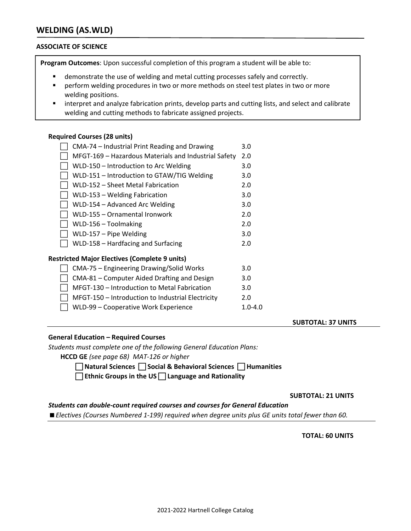# **WELDING (AS.WLD)**

#### **ASSOCIATE OF SCIENCE**

**Program Outcomes**: Upon successful completion of this program a student will be able to:

- demonstrate the use of welding and metal cutting processes safely and correctly.
- **Photo reading and procedures in two or more methods on steel test plates in two or more** welding positions.
- interpret and analyze fabrication prints, develop parts and cutting lists, and select and calibrate welding and cutting methods to fabricate assigned projects.

#### **Required Courses (28 units)**

| CMA-74 – Industrial Print Reading and Drawing        | 3.0 |
|------------------------------------------------------|-----|
| MFGT-169 - Hazardous Materials and Industrial Safety | 2.0 |
| WLD-150 - Introduction to Arc Welding                | 3.0 |
| WLD-151 - Introduction to GTAW/TIG Welding           | 3.0 |
| WLD-152 - Sheet Metal Fabrication                    | 2.0 |
| WLD-153 - Welding Fabrication                        | 3.0 |
| WLD-154 – Advanced Arc Welding                       | 3.0 |
| WLD-155 - Ornamental Ironwork                        | 2.0 |
| WLD-156 – Toolmaking                                 | 2.0 |
| WLD-157 - Pipe Welding                               | 3.0 |
| WLD-158 - Hardfacing and Surfacing                   | 2.0 |
| <b>Restricted Major Electives (Complete 9 units)</b> |     |
| CMA-75 – Engineering Drawing/Solid Works             | 3.0 |
| CMA-81 - Computer Aided Drafting and Design          | 3.0 |
| MFGT-130 – Introduction to Metal Fabrication         | 3.0 |
| MFGT-150 - Introduction to Industrial Electricity    | 2.0 |

■ WLD-99 – Cooperative Work Experience 1.0-4.0

#### **SUBTOTAL: 37 UNITS**

#### **General Education – Required Courses**

*Students must complete one of the following General Education Plans:*

**HCCD GE** *(see page 68) MAT‐126 or higher*

 **Natural Sciences Social & Behavioral Sciences Humanities** 

**Ethnic Groups in the US Language and Rationality**

#### **SUBTOTAL: 21 UNITS**

### *Students can double‐count required courses and courses for General Education*

*Electives (Courses Numbered 1‐199) required when degree units plus GE units total fewer than 60.*

#### **TOTAL: 60 UNITS**